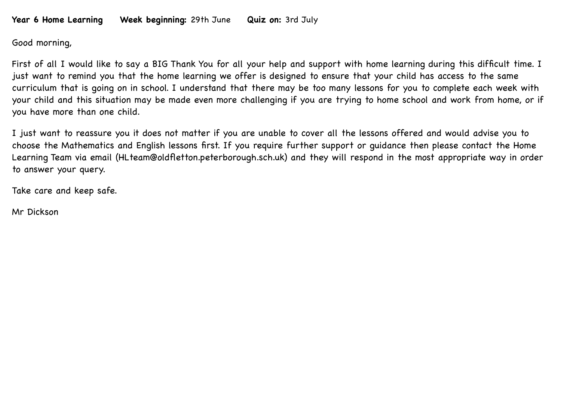## **Year 6 Home Learning Week beginning:** 29th June **Quiz on:** 3rd July

Good morning,

First of all I would like to say a BIG Thank You for all your help and support with home learning during this difficult time. I just want to remind you that the home learning we offer is designed to ensure that your child has access to the same curriculum that is going on in school. I understand that there may be too many lessons for you to complete each week with your child and this situation may be made even more challenging if you are trying to home school and work from home, or if you have more than one child.

I just want to reassure you it does not matter if you are unable to cover all the lessons offered and would advise you to choose the Mathematics and English lessons first. If you require further support or guidance then please contact the Home Learning Team via email (HLteam@oldfletton.peterborough.sch.uk) and they will respond in the most appropriate way in order to answer your query.

Take care and keep safe.

Mr Dickson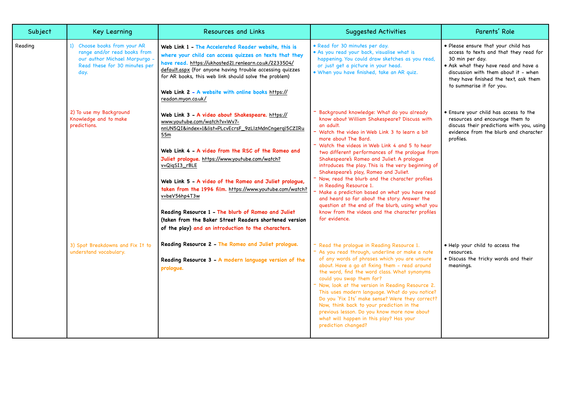| Subject | <b>Key Learning</b>                                                                                                                    | Resources and Links                                                                                                                                                                                                                                                                                                                                                                                                                                                                                                                                                                     | <b>Suggested Activities</b>                                                                                                                                                                                                                                                                                                                                                                                                                                                                                                                                                                                                                                                                                                                   | Parents' Role                                                                                                                                                                                                                                         |
|---------|----------------------------------------------------------------------------------------------------------------------------------------|-----------------------------------------------------------------------------------------------------------------------------------------------------------------------------------------------------------------------------------------------------------------------------------------------------------------------------------------------------------------------------------------------------------------------------------------------------------------------------------------------------------------------------------------------------------------------------------------|-----------------------------------------------------------------------------------------------------------------------------------------------------------------------------------------------------------------------------------------------------------------------------------------------------------------------------------------------------------------------------------------------------------------------------------------------------------------------------------------------------------------------------------------------------------------------------------------------------------------------------------------------------------------------------------------------------------------------------------------------|-------------------------------------------------------------------------------------------------------------------------------------------------------------------------------------------------------------------------------------------------------|
| Reading | 1) Choose books from your AR<br>range and/or read books from<br>our author Michael Morpurgo -<br>Read these for 30 minutes per<br>day. | Web Link 1 - The Accelerated Reader website, this is<br>where your child can access quizzes on texts that they<br>have read. https://ukhosted21.renlearn.co.uk/2233504/<br>default.aspx (For anyone having trouble accessing quizzes<br>for AR books, this web link should solve the problem)<br>Web Link 2 - A website with online books https://<br>readon.myon.co.uk/                                                                                                                                                                                                                | • Read for 30 minutes per day.<br>. As you read your back, visualise what is<br>happening. You could draw sketches as you read,<br>or just get a picture in your head.<br>. When you have finished, take an AR quiz.                                                                                                                                                                                                                                                                                                                                                                                                                                                                                                                          | . Please ensure that your child has<br>access to texts and that they read for<br>30 min per day.<br>. Ask what they have read and have a<br>discussion with them about it - when<br>they have finished the text, ask them<br>to summarise it for you. |
|         | 2) To use my Background<br>Knowledge and to make<br>predictions.                                                                       | Web Link 3 - A video about Shakespeare. https://<br>www.youtube.com/watch?v=Wv7-<br>nnUN5QI&index=1&list=PLcvEcrsF_9zLlzMdnCngergl5CZIRu<br>55m<br>Web Link 4 - A video from the RSC of the Romeo and<br>Juliet prologue. https://www.youtube.com/watch?<br>v=QiqSI3_rBLE<br>Web Link 5 - A video of the Romeo and Juliet prologue,<br>taken from the 1996 film. https://www.youtube.com/watch?<br>v=beV56hp4T3w<br>Reading Resource 1 - The blurb of Romeo and Juliet<br>(taken from the Baker Street Readers shortened version<br>of the play) and an introduction to the characters. | - Background knowledge: What do you already<br>know about William Shakespeare? Discuss with<br>an adult.<br>- Watch the video in Web Link 3 to learn a bit<br>more about The Bard.<br>- Watch the videos in Web Link 4 and 5 to hear<br>two different performances of the proloque from<br>Shakespeare's Romeo and Juliet. A prologue<br>introduces the play. This is the very beginning of<br>Shakespeare's play, Romeo and Juliet.<br>- Now, read the blurb and the character profiles<br>in Reading Resource 1.<br>- Make a prediction based on what you have read<br>and heard so far about the story. Answer the<br>question at the end of the blurb, using what you<br>know from the videos and the character profiles<br>for evidence. | . Ensure your child has access to the<br>resources and encourage them to<br>discuss their predictions with you, using<br>evidence from the blurb and character<br>profiles.                                                                           |
|         | 3) Spot Breakdowns and Fix It to<br>understand vocabulary.                                                                             | Reading Resource 2 - The Romeo and Juliet prologue.<br>Reading Resource 3 - A modern language version of the<br>prologue.                                                                                                                                                                                                                                                                                                                                                                                                                                                               | - Read the proloque in Reading Resource 1.<br>- As you read through, underline or make a note<br>of any words of phrases which you are unsure<br>about. Have a go at fixing them - read around<br>the word, find the word class. What synonyms<br>could you swap them for?<br>- Now, look at the version in Reading Resource 2.<br>This uses modern language. What do you notice?<br>Do you 'Fix Its' make sense? Were they correct?<br>Now, think back to your prediction in the<br>previous lesson. Do you know more now about<br>what will happen in this play? Has your<br>prediction changed?                                                                                                                                            | . Help your child to access the<br>resources.<br>· Discuss the tricky words and their<br>meanings.                                                                                                                                                    |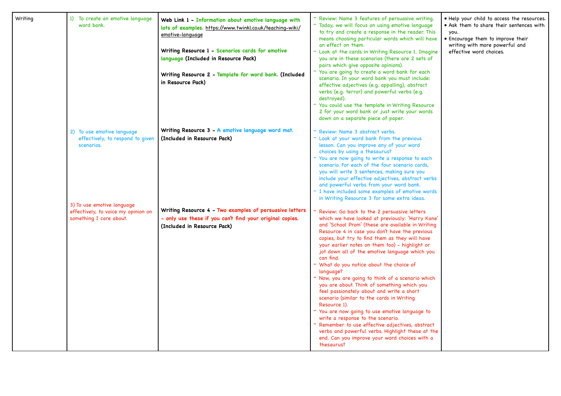| Writing | 1) To create an emotive language<br>word bank.                                               | Web Link 1 - Information about emotive language with<br>lots of examples. https://www.twinkl.co.uk/teaching-wiki/<br><u>emotive-language</u><br>Writing Resource 1 - Scenarios cards for emotive<br>language (Included in Resource Pack)<br>Writing Resource 2 - Template for word bank. (Included<br>in Resource Pack) | - Review: Name 3 features of persuasive writing.<br>- Today, we will focus on using emotive language<br>to try and create a response in the reader. This<br>means choosing particular words which will have<br>an effect on them.<br>- Look at the cards in Writing Resource 1. Imagine<br>you are in these scenarios (there are 2 sets of<br>pairs which give opposite opinions).<br>- You are going to create a word bank for each<br>scenario. In your word bank you must include:<br>effective adjectives (e.g. appalling), abstract<br>verbs (e.g. terror) and powerful verbs (e.g.<br>destroyed).<br>You could use the template in Writing Resource<br>2 for your word bank or just write your words<br>down on a separate piece of paper.                                                                                                                                                       | . Help your child to access the resources.<br>. Ask them to share their sentences with<br>you.<br>• Encourage them to improve their<br>writing with more powerful and<br>effective word choices. |
|---------|----------------------------------------------------------------------------------------------|-------------------------------------------------------------------------------------------------------------------------------------------------------------------------------------------------------------------------------------------------------------------------------------------------------------------------|--------------------------------------------------------------------------------------------------------------------------------------------------------------------------------------------------------------------------------------------------------------------------------------------------------------------------------------------------------------------------------------------------------------------------------------------------------------------------------------------------------------------------------------------------------------------------------------------------------------------------------------------------------------------------------------------------------------------------------------------------------------------------------------------------------------------------------------------------------------------------------------------------------|--------------------------------------------------------------------------------------------------------------------------------------------------------------------------------------------------|
|         | 2) To use emotive language<br>effectively, to respond to given<br>scenarios.                 | Writing Resource 3 - A emotive language word mat.<br>(Included in Resource Pack)                                                                                                                                                                                                                                        | Review: Name 3 abstract verbs.<br>- Look at your word bank from the previous<br>lesson. Can you improve any of your word<br>choices by using a thesaurus?<br>You are now going to write a response to each<br>scenario. For each of the four scenario cards,<br>you will write 3 sentences, making sure you<br>include your effective adjectives, abstract verbs<br>and powerful verbs from your word bank.<br>- I have included some examples of emotive words<br>in Writing Resource 3 for some extra ideas.                                                                                                                                                                                                                                                                                                                                                                                         |                                                                                                                                                                                                  |
|         | 3) To use emotive language<br>effectively, to voice my opinion on<br>something I care about. | Writing Resource 4 - Two examples of persuasive letters<br>- only use these if you can't find your original copies.<br>(Included in Resource Pack)                                                                                                                                                                      | Review: Go back to the 2 persuasive letters<br>which we have looked at previously: 'Harry Kane'<br>and 'School Prom' (these are available in Writing<br>Resource 4 in case you don't have the previous<br>copies, but try to find them as they will have<br>your earlier notes on them too) - highlight or<br>jot down all of the emotive language which you<br>can find.<br>What do you notice about the choice of<br>language?<br>Now, you are going to think of a scenario which<br>you are about. Think of something which you<br>feel passionately about and write a short<br>scenario (similar to the cards in Writing<br>Resource 1).<br>You are now going to use emotive language to<br>write a response to the scenario.<br>Remember to use effective adjectives, abstract<br>verbs and powerful verbs. Highlight these at the<br>end. Can you improve your word choices with a<br>thesaurus? |                                                                                                                                                                                                  |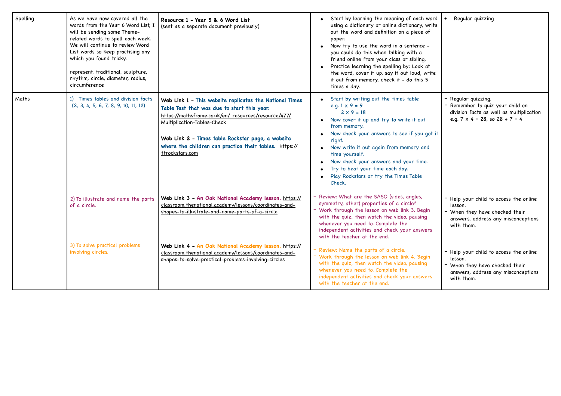| Spelling | As we have now covered all the<br>words from the Year 6 Word List, I<br>will be sending some Theme-<br>related words to spell each week.<br>We will continue to review Word<br>List words so keep practising any<br>which you found tricky.<br>represent, traditional, sculpture,<br>rhythm, circle, diameter, radius,<br>circumference | Resource 1 - Year 5 & 6 Word List<br>(sent as a separate document previously)                                                                                                                                                                                                                                                   | Start by learning the meaning of each word<br>using a dictionary or online dictionary, write<br>out the word and definition on a piece of<br>paper.<br>Now try to use the word in a sentence -<br>$\bullet$<br>you could do this when talking with a<br>friend online from your class or sibling.<br>Practice learning the spelling by: Look at<br>the word, cover it up, say it out loud, write<br>it out from memory, check it - do this 5<br>times a day. | Regular quizzing                                                                                                                                   |
|----------|-----------------------------------------------------------------------------------------------------------------------------------------------------------------------------------------------------------------------------------------------------------------------------------------------------------------------------------------|---------------------------------------------------------------------------------------------------------------------------------------------------------------------------------------------------------------------------------------------------------------------------------------------------------------------------------|--------------------------------------------------------------------------------------------------------------------------------------------------------------------------------------------------------------------------------------------------------------------------------------------------------------------------------------------------------------------------------------------------------------------------------------------------------------|----------------------------------------------------------------------------------------------------------------------------------------------------|
| Maths    | 1) Times tables and division facts<br>(2, 3, 4, 5, 6, 7, 8, 9, 10, 11, 12)                                                                                                                                                                                                                                                              | Web Link 1 - This website replicates the National Times<br>Table Test that was due to start this year.<br>https://mathsframe.co.uk/en/ resources/resource/477/<br>Multiplication-Tables-Check<br>Web Link 2 - Times table Rockstar page, a website<br>where the children can practice their tables. https://<br>ttrockstars.com | Start by writing out the times table<br>e.g. $1 \times 9 = 9$<br>$2 \times 9 = 18$<br>Now cover it up and try to write it out<br>from memory.<br>Now check your answers to see if you got it<br>right.<br>Now write it out again from memory and<br>time yourself.<br>Now check your answers and your time.<br>Try to beat your time each day.<br>Play Rockstars or try the Times Table<br>Check.                                                            | · Regular guizzing.<br>- Remember to quiz your child on<br>division facts as well as multiplication<br>e.g. $7 \times 4 = 28$ , so $28 \div 7 = 4$ |
|          | 2) To illustrate and name the parts<br>of a circle.                                                                                                                                                                                                                                                                                     | Web Link 3 - An Oak National Academy lesson. https://<br>classroom.thenational.academy/lessons/coordinates-and-<br>shapes-to-illustrate-and-name-parts-of-a-circle                                                                                                                                                              | Review: What are the SASO (sides, angles,<br>symmetry, other) properties of a circle?<br>Work through the lesson on web link 3. Begin<br>with the quiz, then watch the video, pausing<br>whenever you need to. Complete the<br>independent activities and check your answers<br>with the teacher at the end.                                                                                                                                                 | - Help your child to access the online<br>lesson.<br>- When they have checked their<br>answers, address any misconceptions<br>with them.           |
|          | 3) To solve practical problems<br>involving circles.                                                                                                                                                                                                                                                                                    | Web Link 4 - An Oak National Academy lesson. https://<br>classroom.thenational.academy/lessons/coordinates-and-<br>shapes-to-solve-practical-problems-involving-circles                                                                                                                                                         | Review: Name the parts of a circle.<br>Work through the lesson on web link 4. Begin<br>with the quiz, then watch the video, pausing<br>whenever you need to. Complete the<br>independent activities and check your answers<br>with the teacher at the end.                                                                                                                                                                                                   | - Help your child to access the online<br>lesson.<br>- When they have checked their<br>answers, address any misconceptions<br>with them.           |